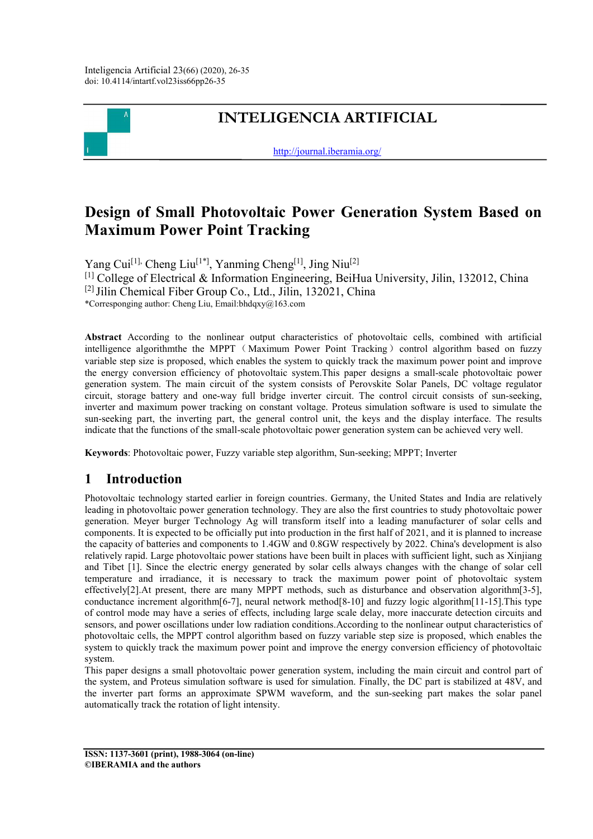

# **INTELIGENCIA ARTIFICIAL**

<http://journal.iberamia.org/>

# **Design of Small Photovoltaic Power Generation System Based on Maximum Power Point Tracking**

Yang Cui<sup>[1],</sup> Cheng Liu<sup>[1\*]</sup>, Yanming Cheng<sup>[1]</sup>, Jing Niu<sup>[2]</sup> [1] College of Electrical & Information Engineering, BeiHua University, Jilin, 132012, China  $[2]$  Jilin Chemical Fiber Group Co., Ltd., Jilin, 132021, China \*Corresponging author: Cheng Liu, Email:bhdqxy@163.com

**Abstract** According to the nonlinear output characteristics of photovoltaic cells, combined with artificial intelligence algorithmthe the MPPT (Maximum Power Point Tracking) control algorithm based on fuzzy variable step size is proposed, which enables the system to quickly track the maximum power point and improve the energy conversion efficiency of photovoltaic system.This paper designs a small-scale photovoltaic power generation system. The main circuit of the system consists of Perovskite Solar Panels, DC voltage regulator circuit, storage battery and one-way full bridge inverter circuit. The control circuit consists of sun-seeking, inverter and maximum power tracking on constant voltage. Proteus simulation software is used to simulate the sun-seeking part, the inverting part, the general control unit, the keys and the display interface. The results indicate that the functions of the small-scale photovoltaic power generation system can be achieved very well.

**Keywords**: Photovoltaic power, Fuzzy variable step algorithm, Sun-seeking; MPPT; Inverter

## **1 Introduction**

Photovoltaic technology started earlier in foreign countries. Germany, the United States and India are relatively leading in photovoltaic power generation technology. They are also the first countries to study photovoltaic power generation. Meyer burger Technology Ag will transform itself into a leading manufacturer of solar cells and components. It is expected to be officially put into production in the first half of 2021, and it is planned to increase the capacity of batteries and components to 1.4GW and 0.8GW respectively by 2022. China's development is also relatively rapid. Large photovoltaic power stations have been built in places with sufficient light, such as Xinjiang and Tibet [1]. Since the electric energy generated by solar cells always changes with the change of solar cell temperature and irradiance, it is necessary to track the maximum power point of photovoltaic system effectively[2].At present, there are many MPPT methods, such as disturbance and observation algorithm[3-5], conductance increment algorithm[6-7], neural network method[8-10] and fuzzy logic algorithm[11-15].This type of control mode may have a series of effects, including large scale delay, more inaccurate detection circuits and sensors, and power oscillations under low radiation conditions.According to the nonlinear output characteristics of photovoltaic cells, the MPPT control algorithm based on fuzzy variable step size is proposed, which enables the system to quickly track the maximum power point and improve the energy conversion efficiency of photovoltaic system.

This paper designs a small photovoltaic power generation system, including the main circuit and control part of the system, and Proteus simulation software is used for simulation. Finally, the DC part is stabilized at 48V, and the inverter part forms an approximate SPWM waveform, and the sun-seeking part makes the solar panel automatically track the rotation of light intensity.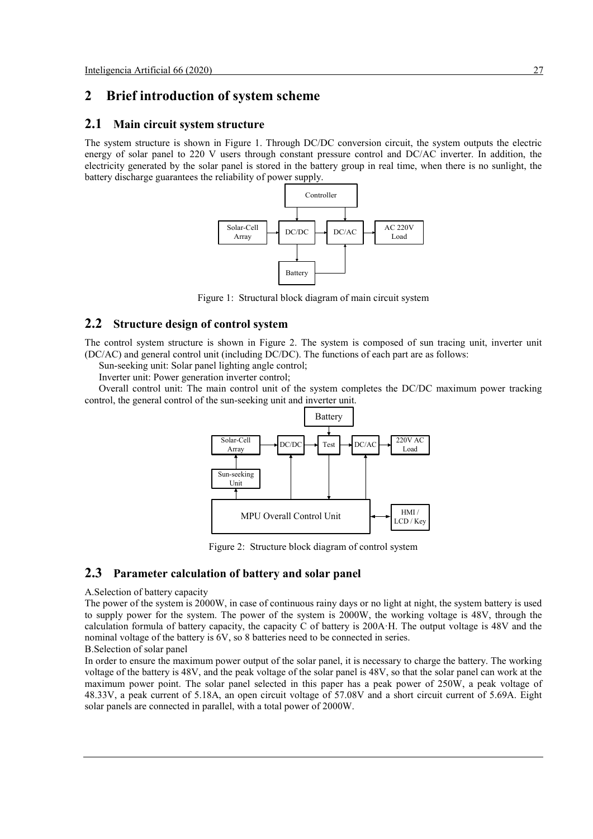## **2 Brief introduction of system scheme**

#### **2.1 Main circuit system structure**

The system structure is shown in Figure 1. Through DC/DC conversion circuit, the system outputs the electric energy of solar panel to 220 V users through constant pressure control and DC/AC inverter. In addition, the electricity generated by the solar panel is stored in the battery group in real time, when there is no sunlight, the battery discharge guarantees the reliability of power supply.



Figure 1: Structural block diagram of main circuit system

### **2.2 Structure design of control system**

The control system structure is shown in Figure 2. The system is composed of sun tracing unit, inverter unit (DC/AC) and general control unit (including DC/DC). The functions of each part are as follows:

Sun-seeking unit: Solar panel lighting angle control;

Inverter unit: Power generation inverter control;

Overall control unit: The main control unit of the system completes the DC/DC maximum power tracking control, the general control of the sun-seeking unit and inverter unit.



Figure 2: Structure block diagram of control system

#### **2.3 Parameter calculation of battery and solar panel**

#### A.Selection of battery capacity

The power of the system is 2000W, in case of continuous rainy days or no light at night, the system battery is used to supply power for the system. The power of the system is 2000W, the working voltage is 48V, through the calculation formula of battery capacity, the capacity C of battery is 200A·H. The output voltage is 48V and the nominal voltage of the battery is 6V, so 8 batteries need to be connected in series.

B.Selection of solar panel

In order to ensure the maximum power output of the solar panel, it is necessary to charge the battery. The working voltage of the battery is 48V, and the peak voltage of the solar panel is 48V, so that the solar panel can work at the maximum power point. The solar panel selected in this paper has a peak power of 250W, a peak voltage of 48.33V, a peak current of 5.18A, an open circuit voltage of 57.08V and a short circuit current of 5.69A. Eight solar panels are connected in parallel, with a total power of 2000W.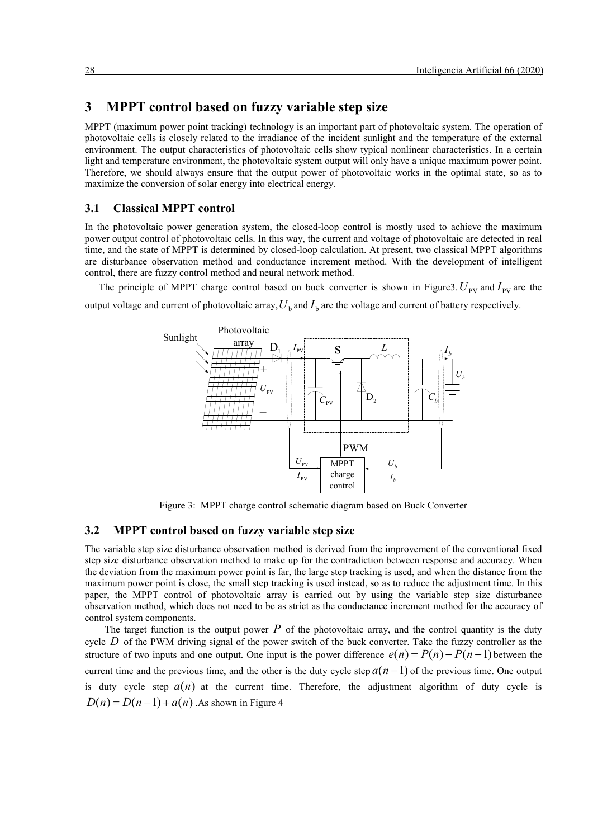## **3 MPPT control based on fuzzy variable step size**

MPPT (maximum power point tracking) technology is an important part of photovoltaic system. The operation of photovoltaic cells is closely related to the irradiance of the incident sunlight and the temperature of the external environment. The output characteristics of photovoltaic cells show typical nonlinear characteristics. In a certain light and temperature environment, the photovoltaic system output will only have a unique maximum power point. Therefore, we should always ensure that the output power of photovoltaic works in the optimal state, so as to maximize the conversion of solar energy into electrical energy.

#### **3.1 Classical MPPT control**

In the photovoltaic power generation system, the closed-loop control is mostly used to achieve the maximum power output control of photovoltaic cells. In this way, the current and voltage of photovoltaic are detected in real time, and the state of MPPT is determined by closed-loop calculation. At present, two classical MPPT algorithms are disturbance observation method and conductance increment method. With the development of intelligent control, there are fuzzy control method and neural network method.

The principle of MPPT charge control based on buck converter is shown in Figure3.  $U_{\text{pv}}$  and  $I_{\text{pv}}$  are the output voltage and current of photovoltaic array,  $U_b$  and  $I_b$  are the voltage and current of battery respectively.



Figure 3: MPPT charge control schematic diagram based on Buck Converter

#### **3.2 MPPT control based on fuzzy variable step size**

The variable step size disturbance observation method is derived from the improvement of the conventional fixed step size disturbance observation method to make up for the contradiction between response and accuracy. When the deviation from the maximum power point is far, the large step tracking is used, and when the distance from the maximum power point is close, the small step tracking is used instead, so as to reduce the adjustment time. In this paper, the MPPT control of photovoltaic array is carried out by using the variable step size disturbance observation method, which does not need to be as strict as the conductance increment method for the accuracy of control system components.

The target function is the output power  $P$  of the photovoltaic array, and the control quantity is the duty cycle *D* of the PWM driving signal of the power switch of the buck converter. Take the fuzzy controller as the structure of two inputs and one output. One input is the power difference  $e(n) = P(n) - P(n-1)$  between the current time and the previous time, and the other is the duty cycle step  $a(n-1)$  of the previous time. One output is duty cycle step  $a(n)$  at the current time. Therefore, the adjustment algorithm of duty cycle is  $D(n) = D(n-1) + a(n)$ . As shown in Figure 4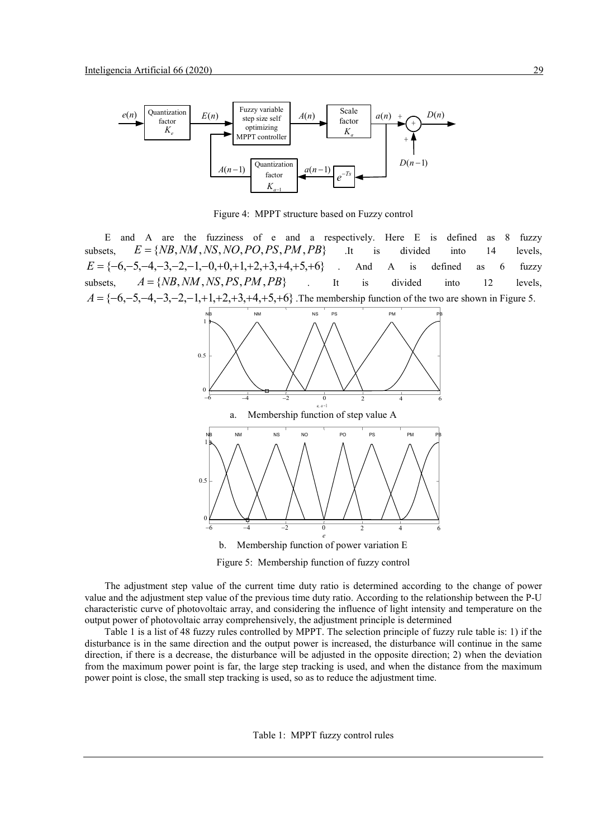

Figure 4: MPPT structure based on Fuzzy control

E and A are the fuzziness of e and a respectively. Here E is defined as 8 fuzzy subsets,  $E = \{NB, NM, NS, NO, PO, PS, PM, PB\}$  .It is divided into 14 levels,  $E = \{-6, -5, -4, -3, -2, -1, -0, +0, +1, +2, +3, +4, +5, +6\}$  . And A is defined as 6 fuzzy subsets,  $A = \{NB, NM, NS, PS, PM, PB\}$  . It is divided into 12 levels,  $A = \{-6, -5, -4, -3, -2, -1, +1, +2, +3, +4, +5, +6\}$ . The membership function of the two are shown in Figure 5.





The adjustment step value of the current time duty ratio is determined according to the change of power value and the adjustment step value of the previous time duty ratio. According to the relationship between the P-U characteristic curve of photovoltaic array, and considering the influence of light intensity and temperature on the output power of photovoltaic array comprehensively, the adjustment principle is determined

Table 1 is a list of 48 fuzzy rules controlled by MPPT. The selection principle of fuzzy rule table is: 1) if the disturbance is in the same direction and the output power is increased, the disturbance will continue in the same direction, if there is a decrease, the disturbance will be adjusted in the opposite direction; 2) when the deviation from the maximum power point is far, the large step tracking is used, and when the distance from the maximum power point is close, the small step tracking is used, so as to reduce the adjustment time.

Table 1: MPPT fuzzy control rules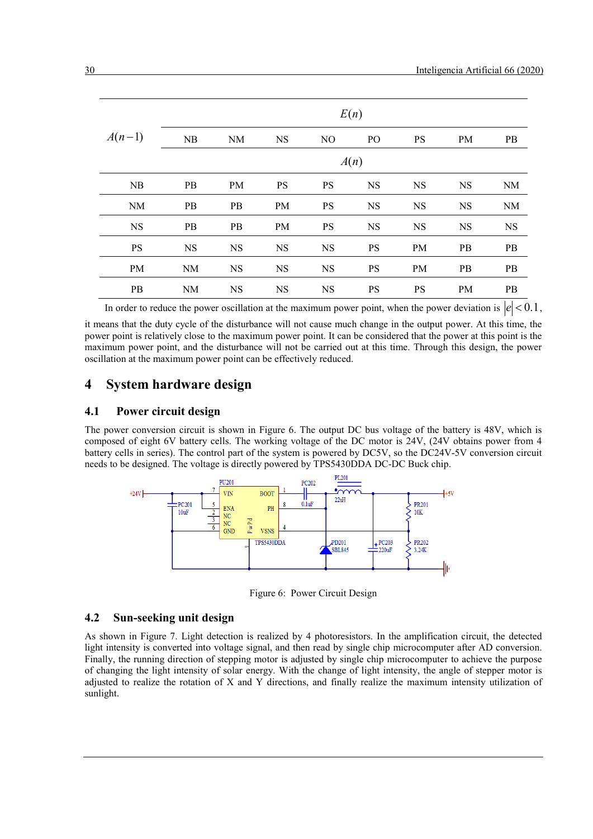|           | E(n)      |           |           |                |                |           |           |           |
|-----------|-----------|-----------|-----------|----------------|----------------|-----------|-----------|-----------|
| $A(n-1)$  | NB        | <b>NM</b> | <b>NS</b> | N <sub>O</sub> | P <sub>O</sub> | <b>PS</b> | PM        | <b>PB</b> |
|           | A(n)      |           |           |                |                |           |           |           |
| NB        | PB        | PM        | <b>PS</b> | <b>PS</b>      | <b>NS</b>      | <b>NS</b> | <b>NS</b> | <b>NM</b> |
| <b>NM</b> | PB        | PB        | PM        | <b>PS</b>      | <b>NS</b>      | <b>NS</b> | <b>NS</b> | <b>NM</b> |
| <b>NS</b> | PB        | PB        | PM        | <b>PS</b>      | <b>NS</b>      | <b>NS</b> | <b>NS</b> | <b>NS</b> |
| <b>PS</b> | <b>NS</b> | <b>NS</b> | <b>NS</b> | <b>NS</b>      | <b>PS</b>      | <b>PM</b> | PB        | PB        |
| PM        | NM        | <b>NS</b> | <b>NS</b> | <b>NS</b>      | <b>PS</b>      | <b>PM</b> | PB        | PB        |
| PB        | <b>NM</b> | <b>NS</b> | <b>NS</b> | <b>NS</b>      | <b>PS</b>      | <b>PS</b> | PM        | PB        |

In order to reduce the power oscillation at the maximum power point, when the power deviation is  $|e| < 0.1$ .

it means that the duty cycle of the disturbance will not cause much change in the output power. At this time, the power point is relatively close to the maximum power point. It can be considered that the power at this point is the maximum power point, and the disturbance will not be carried out at this time. Through this design, the power oscillation at the maximum power point can be effectively reduced.

## **4 System hardware design**

#### **4.1 Power circuit design**

The power conversion circuit is shown in Figure 6. The output DC bus voltage of the battery is 48V, which is composed of eight 6V battery cells. The working voltage of the DC motor is 24V, (24V obtains power from 4 battery cells in series). The control part of the system is powered by DC5V, so the DC24V-5V conversion circuit needs to be designed. The voltage is directly powered by TPS5430DDA DC-DC Buck chip.



Figure 6: Power Circuit Design

#### **4.2 Sun-seeking unit design**

As shown in Figure 7. Light detection is realized by 4 photoresistors. In the amplification circuit, the detected light intensity is converted into voltage signal, and then read by single chip microcomputer after AD conversion. Finally, the running direction of stepping motor is adjusted by single chip microcomputer to achieve the purpose of changing the light intensity of solar energy. With the change of light intensity, the angle of stepper motor is adjusted to realize the rotation of X and Y directions, and finally realize the maximum intensity utilization of sunlight.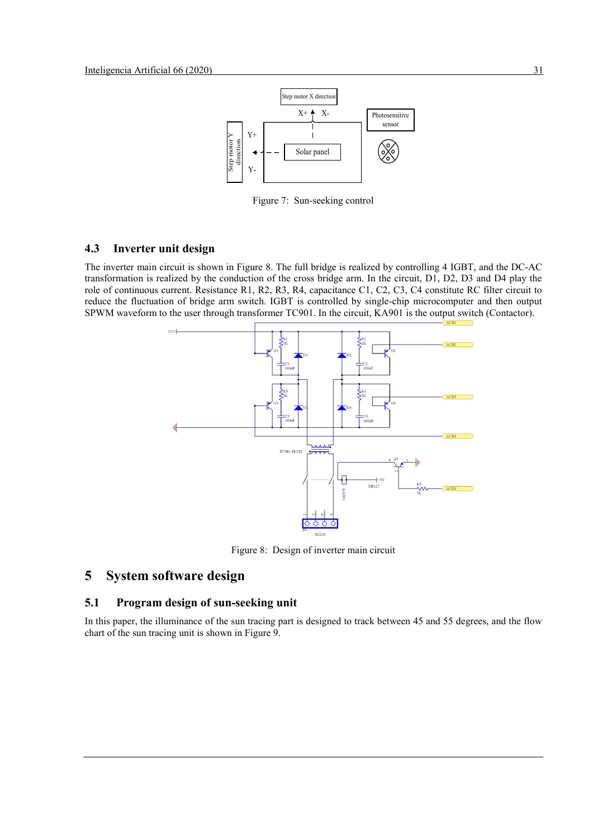

Figure 7: Sun-seeking control

#### **4.3 Inverter unit design**

The inverter main circuit is shown in Figure 8. The full bridge is realized by controlling 4 IGBT, and the DC-AC transformation is realized by the conduction of the cross bridge arm. In the circuit, D1, D2, D3 and D4 play the role of continuous current. Resistance R1, R2, R3, R4, capacitance C1, C2, C3, C4 constitute RC filter circuit to reduce the fluctuation of bridge arm switch. IGBT is controlled by single-chip microcomputer and then output SPWM waveform to the user through transformer TC901. In the circuit, KA901 is the output switch (Contactor).



Figure 8: Design of inverter main circuit

## **5 System software design**

## **5.1 Program design of sun-seeking unit**

In this paper, the illuminance of the sun tracing part is designed to track between 45 and 55 degrees, and the flow chart of the sun tracing unit is shown in Figure 9.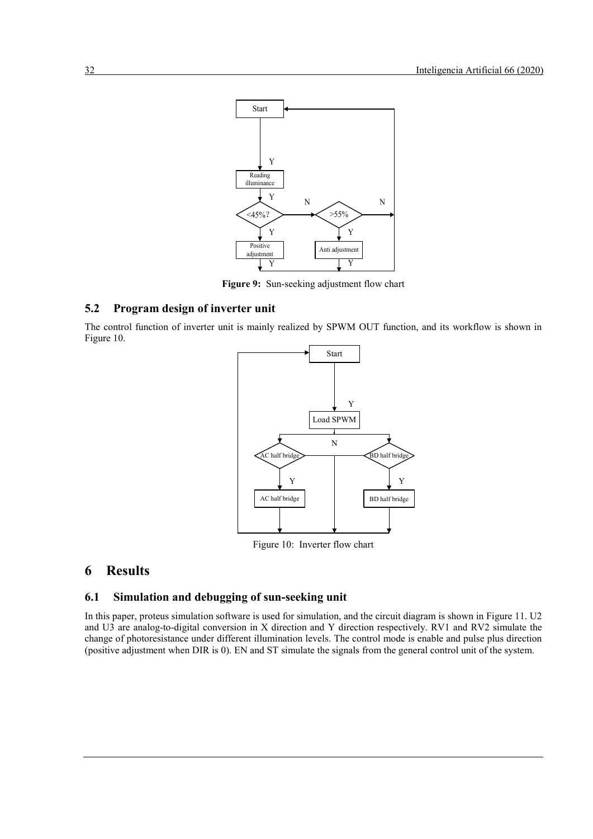

**Figure 9:** Sun-seeking adjustment flow chart

#### **5.2 Program design of inverter unit**

The control function of inverter unit is mainly realized by SPWM OUT function, and its workflow is shown in Figure 10.



Figure 10: Inverter flow chart

## **6 Results**

#### **6.1 Simulation and debugging of sun-seeking unit**

In this paper, proteus simulation software is used for simulation, and the circuit diagram is shown in Figure 11. U2 and U3 are analog-to-digital conversion in X direction and Y direction respectively. RV1 and RV2 simulate the change of photoresistance under different illumination levels. The control mode is enable and pulse plus direction (positive adjustment when DIR is 0). EN and ST simulate the signals from the general control unit of the system.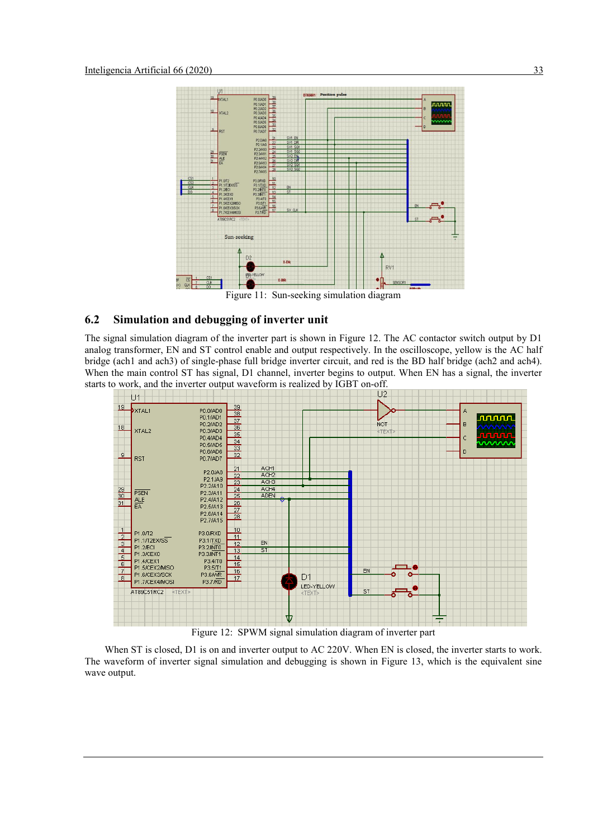

Figure 11: Sun-seeking simulation diagram

#### **6.2 Simulation and debugging of inverter unit**

The signal simulation diagram of the inverter part is shown in Figure 12. The AC contactor switch output by D1 analog transformer, EN and ST control enable and output respectively. In the oscilloscope, yellow is the AC half bridge (ach1 and ach3) of single-phase full bridge inverter circuit, and red is the BD half bridge (ach2 and ach4). When the main control ST has signal, D1 channel, inverter begins to output. When EN has a signal, the inverter starts to work, and the inverter output waveform is realized by IGBT on-off.<br>U2



Figure 12: SPWM signal simulation diagram of inverter part

When ST is closed, D1 is on and inverter output to AC 220V. When EN is closed, the inverter starts to work. The waveform of inverter signal simulation and debugging is shown in Figure 13, which is the equivalent sine wave output.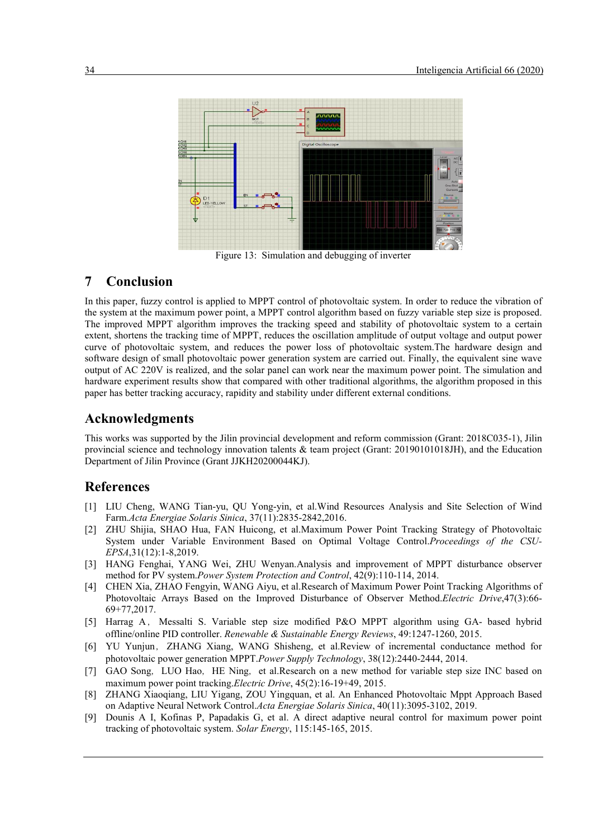

Figure 13: Simulation and debugging of inverter

## **7 Conclusion**

In this paper, fuzzy control is applied to MPPT control of photovoltaic system. In order to reduce the vibration of the system at the maximum power point, a MPPT control algorithm based on fuzzy variable step size is proposed. The improved MPPT algorithm improves the tracking speed and stability of photovoltaic system to a certain extent, shortens the tracking time of MPPT, reduces the oscillation amplitude of output voltage and output power curve of photovoltaic system, and reduces the power loss of photovoltaic system.The hardware design and software design of small photovoltaic power generation system are carried out. Finally, the equivalent sine wave output of AC 220V is realized, and the solar panel can work near the maximum power point. The simulation and hardware experiment results show that compared with other traditional algorithms, the algorithm proposed in this paper has better tracking accuracy, rapidity and stability under different external conditions.

## **Acknowledgments**

This works was supported by the Jilin provincial development and reform commission (Grant: 2018C035-1), Jilin provincial science and technology innovation talents & team project (Grant: 20190101018JH), and the Education Department of Jilin Province (Grant JJKH20200044KJ).

## **References**

- [1] LIU Cheng, WANG Tian-yu, QU Yong-yin, et al.Wind Resources Analysis and Site Selection of Wind Farm.*Acta Energiae Solaris Sinica*, 37(11):2835-2842,2016.
- [2] ZHU Shijia, SHAO Hua, FAN Huicong, et al.Maximum Power Point Tracking Strategy of Photovoltaic System under Variable Environment Based on Optimal Voltage Control.*Proceedings of the CSU-EPSA*,31(12):1-8,2019.
- [3] HANG Fenghai, YANG Wei, ZHU Wenyan.Analysis and improvement of MPPT disturbance observer method for PV system.*Power System Protection and Control*, 42(9):110-114, 2014.
- [4] CHEN Xia, ZHAO Fengyin, WANG Aiyu, et al.Research of Maximum Power Point Tracking Algorithms of Photovoltaic Arrays Based on the Improved Disturbance of Observer Method.*Electric Drive*,47(3):66- 69+77,2017.
- [5] Harrag A, Messalti S. Variable step size modified P&O MPPT algorithm using GA- based hybrid offline/online PID controller. *Renewable & Sustainable Energy Reviews*, 49:1247-1260, 2015.
- [6] YU Yunjun, ZHANG Xiang, WANG Shisheng, et al.Review of incremental conductance method for photovoltaic power generation MPPT.*Power Supply Technology*, 38(12):2440-2444, 2014.
- [7] GAO Song, LUO Hao, HE Ning, et al.Research on a new method for variable step size INC based on maximum power point tracking.*Electric Drive*, 45(2):16-19+49, 2015.
- [8] ZHANG Xiaoqiang, LIU Yigang, ZOU Yingquan, et al. An Enhanced Photovoltaic Mppt Approach Based on Adaptive Neural Network Control.*Acta Energiae Solaris Sinica*, 40(11):3095-3102, 2019.
- [9] Dounis A I, Kofinas P, Papadakis G, et al. A direct adaptive neural control for maximum power point tracking of photovoltaic system. *Solar Energy*, 115:145-165, 2015.